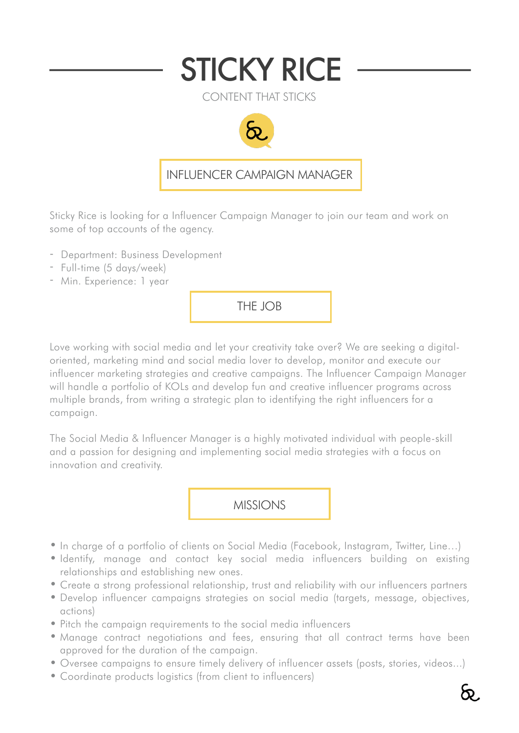## STICKY RICE

CONTENT THAT STICKS



## INFLUENCER CAMPAIGN MANAGER

Sticky Rice is looking for a Influencer Campaign Manager to join our team and work on some of top accounts of the agency.

- Department: Business Development
- Full-time (5 days/week)
- Min. Experience: 1 year

THE JOB

Love working with social media and let your creativity take over? We are seeking a digitaloriented, marketing mind and social media lover to develop, monitor and execute our influencer marketing strategies and creative campaigns. The Influencer Campaign Manager will handle a portfolio of KOLs and develop fun and creative influencer programs across multiple brands, from writing a strategic plan to identifying the right influencers for a campaign.

The Social Media & Influencer Manager is a highly motivated individual with people-skill and a passion for designing and implementing social media strategies with a focus on innovation and creativity.

## MISSIONS

- In charge of a portfolio of clients on Social Media (Facebook, Instagram, Twitter, Line…)
- Identify, manage and contact key social media influencers building on existing relationships and establishing new ones.
- Create a strong professional relationship, trust and reliability with our influencers partners
- Develop influencer campaigns strategies on social media (targets, message, objectives, actions)
- Pitch the campaign requirements to the social media influencers
- Manage contract negotiations and fees, ensuring that all contract terms have been approved for the duration of the campaign.
- Oversee campaigns to ensure timely delivery of influencer assets (posts, stories, videos...)
- Coordinate products logistics (from client to influencers)